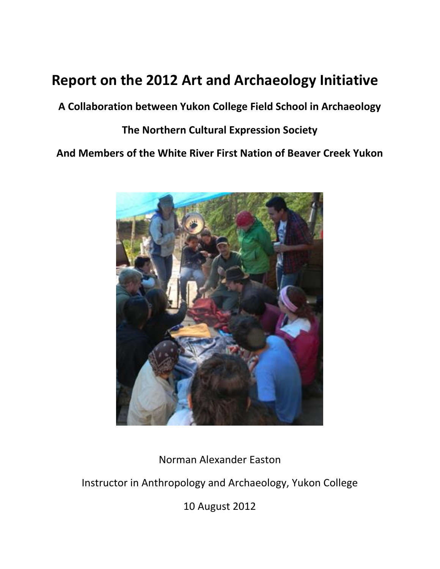## **Report on the 2012 Art and Archaeology Initiative**

**A Collaboration between Yukon College Field School in Archaeology**

## **The Northern Cultural Expression Society**

**And Members of the White River First Nation of Beaver Creek Yukon**



Norman Alexander Easton

Instructor in Anthropology and Archaeology, Yukon College

10 August 2012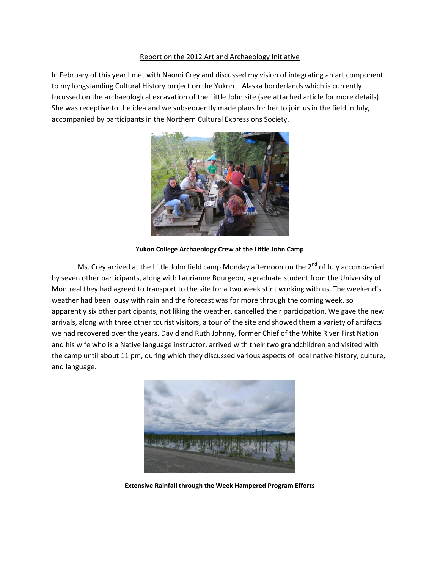## Report on the 2012 Art and Archaeology Initiative

In February of this year I met with Naomi Crey and discussed my vision of integrating an art component to my longstanding Cultural History project on the Yukon – Alaska borderlands which is currently focussed on the archaeological excavation of the Little John site (see attached article for more details). She was receptive to the idea and we subsequently made plans for her to join us in the field in July, accompanied by participants in the Northern Cultural Expressions Society.



**Yukon College Archaeology Crew at the Little John Camp**

Ms. Crey arrived at the Little John field camp Monday afternoon on the  $2^{nd}$  of July accompanied by seven other participants, along with Laurianne Bourgeon, a graduate student from the University of Montreal they had agreed to transport to the site for a two week stint working with us. The weekend's weather had been lousy with rain and the forecast was for more through the coming week, so apparently six other participants, not liking the weather, cancelled their participation. We gave the new arrivals, along with three other tourist visitors, a tour of the site and showed them a variety of artifacts we had recovered over the years. David and Ruth Johnny, former Chief of the White River First Nation and his wife who is a Native language instructor, arrived with their two grandchildren and visited with the camp until about 11 pm, during which they discussed various aspects of local native history, culture, and language.



**Extensive Rainfall through the Week Hampered Program Efforts**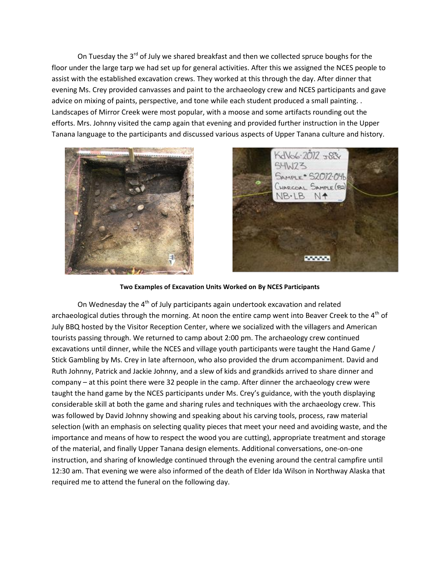On Tuesday the  $3^{rd}$  of July we shared breakfast and then we collected spruce boughs for the floor under the large tarp we had set up for general activities. After this we assigned the NCES people to assist with the established excavation crews. They worked at this through the day. After dinner that evening Ms. Crey provided canvasses and paint to the archaeology crew and NCES participants and gave advice on mixing of paints, perspective, and tone while each student produced a small painting. . Landscapes of Mirror Creek were most popular, with a moose and some artifacts rounding out the efforts. Mrs. Johnny visited the camp again that evening and provided further instruction in the Upper Tanana language to the participants and discussed various aspects of Upper Tanana culture and history.





## **Two Examples of Excavation Units Worked on By NCES Participants**

On Wednesday the  $4<sup>th</sup>$  of July participants again undertook excavation and related archaeological duties through the morning. At noon the entire camp went into Beaver Creek to the 4<sup>th</sup> of July BBQ hosted by the Visitor Reception Center, where we socialized with the villagers and American tourists passing through. We returned to camp about 2:00 pm. The archaeology crew continued excavations until dinner, while the NCES and village youth participants were taught the Hand Game / Stick Gambling by Ms. Crey in late afternoon, who also provided the drum accompaniment. David and Ruth Johnny, Patrick and Jackie Johnny, and a slew of kids and grandkids arrived to share dinner and company – at this point there were 32 people in the camp. After dinner the archaeology crew were taught the hand game by the NCES participants under Ms. Crey's guidance, with the youth displaying considerable skill at both the game and sharing rules and techniques with the archaeology crew. This was followed by David Johnny showing and speaking about his carving tools, process, raw material selection (with an emphasis on selecting quality pieces that meet your need and avoiding waste, and the importance and means of how to respect the wood you are cutting), appropriate treatment and storage of the material, and finally Upper Tanana design elements. Additional conversations, one-on-one instruction, and sharing of knowledge continued through the evening around the central campfire until 12:30 am. That evening we were also informed of the death of Elder Ida Wilson in Northway Alaska that required me to attend the funeral on the following day.